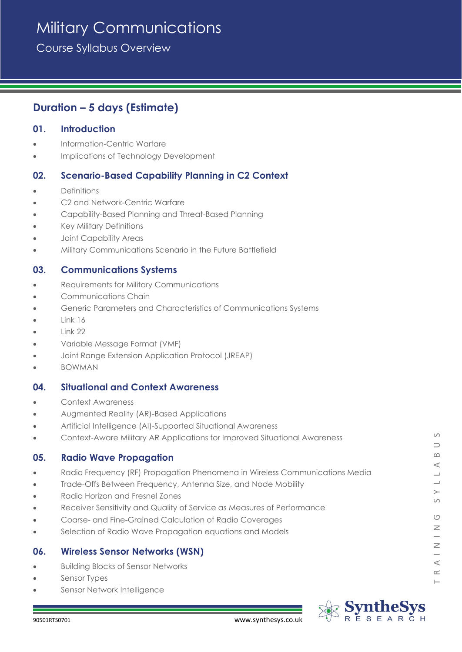# Military Communications

Course Syllabus Overview

# **Duration – 5 days (Estimate)**

### **01. Introduction**

- Information-Centric Warfare
- Implications of Technology Development

# **02. Scenario-Based Capability Planning in C2 Context**

- **Definitions**
- C<sub>2</sub> and Network-Centric Warfare
- Capability-Based Planning and Threat-Based Planning
- Key Military Definitions
- Joint Capability Areas
- Military Communications Scenario in the Future Battlefield

#### **03. Communications Systems**

- Requirements for Military Communications
- Communications Chain
- Generic Parameters and Characteristics of Communications Systems
- Link 16
- Link 22
- Variable Message Format (VMF)
- Joint Range Extension Application Protocol (JREAP)
- BOWMAN

#### **04. Situational and Context Awareness**

- Context Awareness
- Augmented Reality (AR)-Based Applications
- Artificial Intelligence (AI)-Supported Situational Awareness
- Context-Aware Military AR Applications for Improved Situational Awareness

## **05. Radio Wave Propagation**

- Radio Frequency (RF) Propagation Phenomena in Wireless Communications Media
- Trade-Offs Between Frequency, Antenna Size, and Node Mobility
- Radio Horizon and Fresnel Zones
- Receiver Sensitivity and Quality of Service as Measures of Performance
- Coarse- and Fine-Grained Calculation of Radio Coverages
- Selection of Radio Wave Propagation equations and Models

#### **06. Wireless Sensor Networks (WSN)**

- Building Blocks of Sensor Networks
- Sensor Types
- Sensor Network Intelligence



 $\circ$